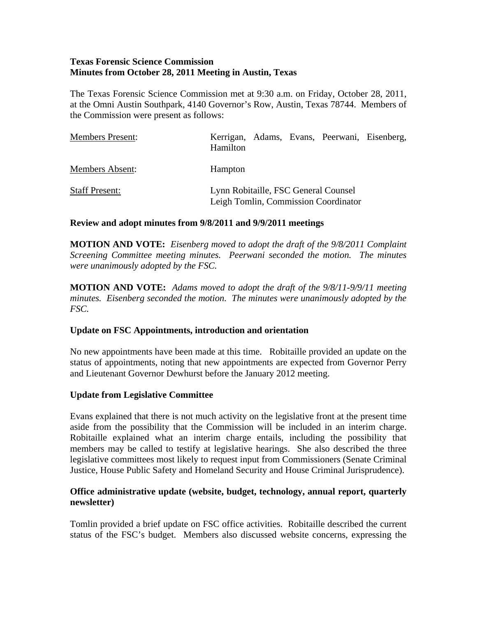# **Texas Forensic Science Commission Minutes from October 28, 2011 Meeting in Austin, Texas**

The Texas Forensic Science Commission met at 9:30 a.m. on Friday, October 28, 2011, at the Omni Austin Southpark, 4140 Governor's Row, Austin, Texas 78744. Members of the Commission were present as follows:

| <b>Members Present:</b> | Kerrigan, Adams, Evans, Peerwani, Eisenberg,<br>Hamilton                     |  |
|-------------------------|------------------------------------------------------------------------------|--|
| Members Absent:         | Hampton                                                                      |  |
| <b>Staff Present:</b>   | Lynn Robitaille, FSC General Counsel<br>Leigh Tomlin, Commission Coordinator |  |

### **Review and adopt minutes from 9/8/2011 and 9/9/2011 meetings**

**MOTION AND VOTE:** *Eisenberg moved to adopt the draft of the 9/8/2011 Complaint Screening Committee meeting minutes. Peerwani seconded the motion. The minutes were unanimously adopted by the FSC.* 

**MOTION AND VOTE:** *Adams moved to adopt the draft of the 9/8/11-9/9/11 meeting minutes. Eisenberg seconded the motion. The minutes were unanimously adopted by the FSC.* 

### **Update on FSC Appointments, introduction and orientation**

No new appointments have been made at this time. Robitaille provided an update on the status of appointments, noting that new appointments are expected from Governor Perry and Lieutenant Governor Dewhurst before the January 2012 meeting.

### **Update from Legislative Committee**

Evans explained that there is not much activity on the legislative front at the present time aside from the possibility that the Commission will be included in an interim charge. Robitaille explained what an interim charge entails, including the possibility that members may be called to testify at legislative hearings. She also described the three legislative committees most likely to request input from Commissioners (Senate Criminal Justice, House Public Safety and Homeland Security and House Criminal Jurisprudence).

### **Office administrative update (website, budget, technology, annual report, quarterly newsletter)**

Tomlin provided a brief update on FSC office activities. Robitaille described the current status of the FSC's budget. Members also discussed website concerns, expressing the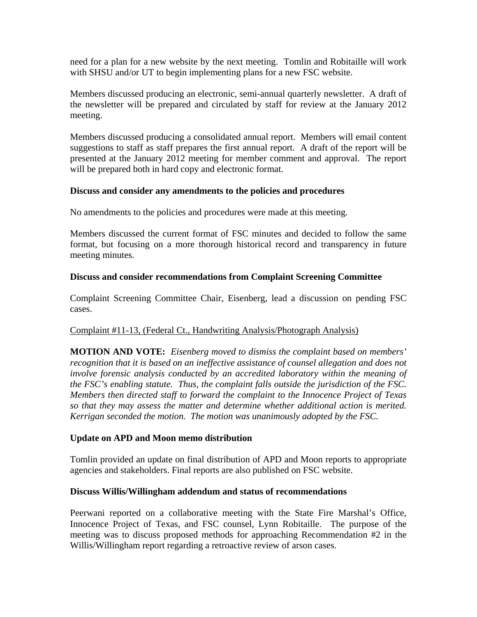need for a plan for a new website by the next meeting. Tomlin and Robitaille will work with SHSU and/or UT to begin implementing plans for a new FSC website.

Members discussed producing an electronic, semi-annual quarterly newsletter. A draft of the newsletter will be prepared and circulated by staff for review at the January 2012 meeting.

Members discussed producing a consolidated annual report. Members will email content suggestions to staff as staff prepares the first annual report. A draft of the report will be presented at the January 2012 meeting for member comment and approval. The report will be prepared both in hard copy and electronic format.

# **Discuss and consider any amendments to the policies and procedures**

No amendments to the policies and procedures were made at this meeting.

Members discussed the current format of FSC minutes and decided to follow the same format, but focusing on a more thorough historical record and transparency in future meeting minutes.

# **Discuss and consider recommendations from Complaint Screening Committee**

Complaint Screening Committee Chair, Eisenberg, lead a discussion on pending FSC cases.

# Complaint #11-13, (Federal Ct., Handwriting Analysis/Photograph Analysis)

**MOTION AND VOTE:** *Eisenberg moved to dismiss the complaint based on members' recognition that it is based on an ineffective assistance of counsel allegation and does not involve forensic analysis conducted by an accredited laboratory within the meaning of the FSC's enabling statute. Thus, the complaint falls outside the jurisdiction of the FSC. Members then directed staff to forward the complaint to the Innocence Project of Texas so that they may assess the matter and determine whether additional action is merited. Kerrigan seconded the motion. The motion was unanimously adopted by the FSC.* 

### **Update on APD and Moon memo distribution**

Tomlin provided an update on final distribution of APD and Moon reports to appropriate agencies and stakeholders. Final reports are also published on FSC website.

### **Discuss Willis/Willingham addendum and status of recommendations**

Peerwani reported on a collaborative meeting with the State Fire Marshal's Office, Innocence Project of Texas, and FSC counsel, Lynn Robitaille. The purpose of the meeting was to discuss proposed methods for approaching Recommendation #2 in the Willis/Willingham report regarding a retroactive review of arson cases.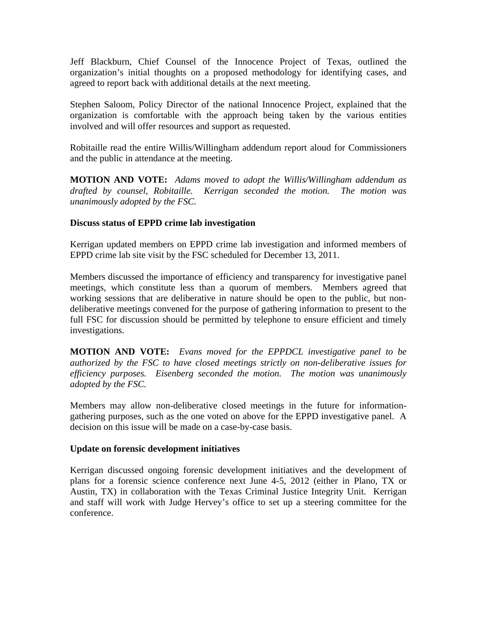Jeff Blackburn, Chief Counsel of the Innocence Project of Texas, outlined the organization's initial thoughts on a proposed methodology for identifying cases, and agreed to report back with additional details at the next meeting.

Stephen Saloom, Policy Director of the national Innocence Project, explained that the organization is comfortable with the approach being taken by the various entities involved and will offer resources and support as requested.

Robitaille read the entire Willis/Willingham addendum report aloud for Commissioners and the public in attendance at the meeting.

**MOTION AND VOTE:** *Adams moved to adopt the Willis/Willingham addendum as drafted by counsel, Robitaille. Kerrigan seconded the motion. The motion was unanimously adopted by the FSC.* 

### **Discuss status of EPPD crime lab investigation**

Kerrigan updated members on EPPD crime lab investigation and informed members of EPPD crime lab site visit by the FSC scheduled for December 13, 2011.

Members discussed the importance of efficiency and transparency for investigative panel meetings, which constitute less than a quorum of members. Members agreed that working sessions that are deliberative in nature should be open to the public, but nondeliberative meetings convened for the purpose of gathering information to present to the full FSC for discussion should be permitted by telephone to ensure efficient and timely investigations.

**MOTION AND VOTE:** *Evans moved for the EPPDCL investigative panel to be authorized by the FSC to have closed meetings strictly on non-deliberative issues for efficiency purposes. Eisenberg seconded the motion. The motion was unanimously adopted by the FSC.* 

Members may allow non-deliberative closed meetings in the future for informationgathering purposes, such as the one voted on above for the EPPD investigative panel. A decision on this issue will be made on a case-by-case basis.

### **Update on forensic development initiatives**

Kerrigan discussed ongoing forensic development initiatives and the development of plans for a forensic science conference next June 4-5, 2012 (either in Plano, TX or Austin, TX) in collaboration with the Texas Criminal Justice Integrity Unit. Kerrigan and staff will work with Judge Hervey's office to set up a steering committee for the conference.